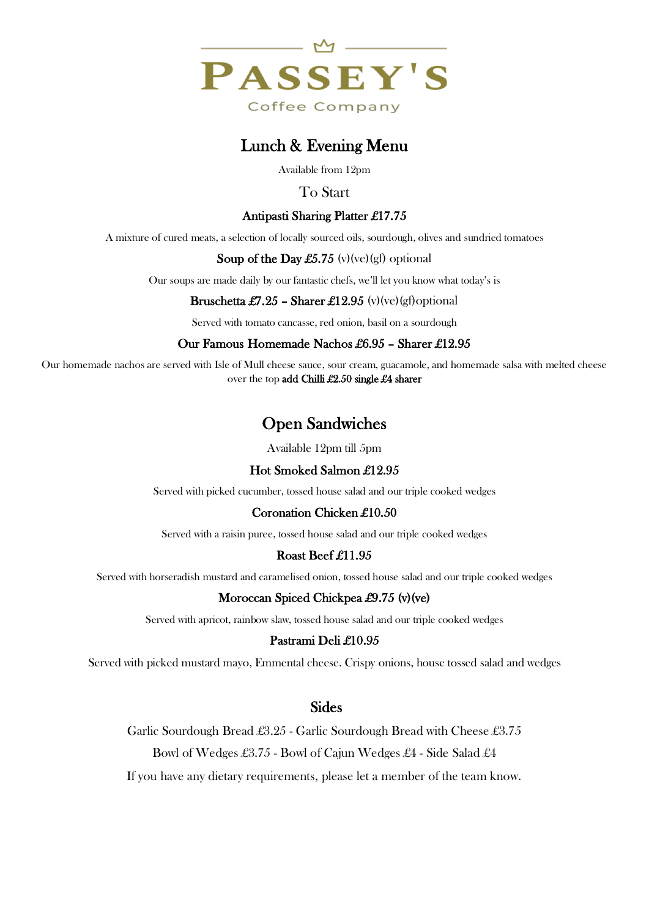

# Lunch & Evening Menu

Available from 12pm

## To Start

## Antipasti Sharing Platter £17.75

A mixture of cured meats, a selection of locally sourced oils, sourdough, olives and sundried tomatoes

#### Soup of the Day £5.75 (v)(ve)(gf) optional

Our soups are made daily by our fantastic chefs, we'll let you know what today's is

#### **Bruschetta £7.25 – Sharer £12.95** (v)(ve)(gf)optional

Served with tomato cancasse, red onion, basil on a sourdough

#### Our Famous Homemade Nachos £6.95 – Sharer £12.95

Our homemade nachos are served with Isle of Mull cheese sauce, sour cream, guacamole, and homemade salsa with melted cheese over the top add Chilli £2.50 single £4 sharer

# Open Sandwiches

Available 12pm till 5pm

# Hot Smoked Salmon £12.95

Served with picked cucumber, tossed house salad and our triple cooked wedges

#### Coronation Chicken £10.50

Served with a raisin puree, tossed house salad and our triple cooked wedges

#### Roast Beef £11.95

Served with horseradish mustard and caramelised onion, tossed house salad and our triple cooked wedges

#### Moroccan Spiced Chickpea £9.75 (v)(ve)

Served with apricot, rainbow slaw, tossed house salad and our triple cooked wedges

#### Pastrami Deli £10.95

Served with picked mustard mayo, Emmental cheese. Crispy onions, house tossed salad and wedges

# Sides

Garlic Sourdough Bread £3.25 - Garlic Sourdough Bread with Cheese £3.75

Bowl of Wedges £3.75 - Bowl of Cajun Wedges £4 - Side Salad £4

If you have any dietary requirements, please let a member of the team know.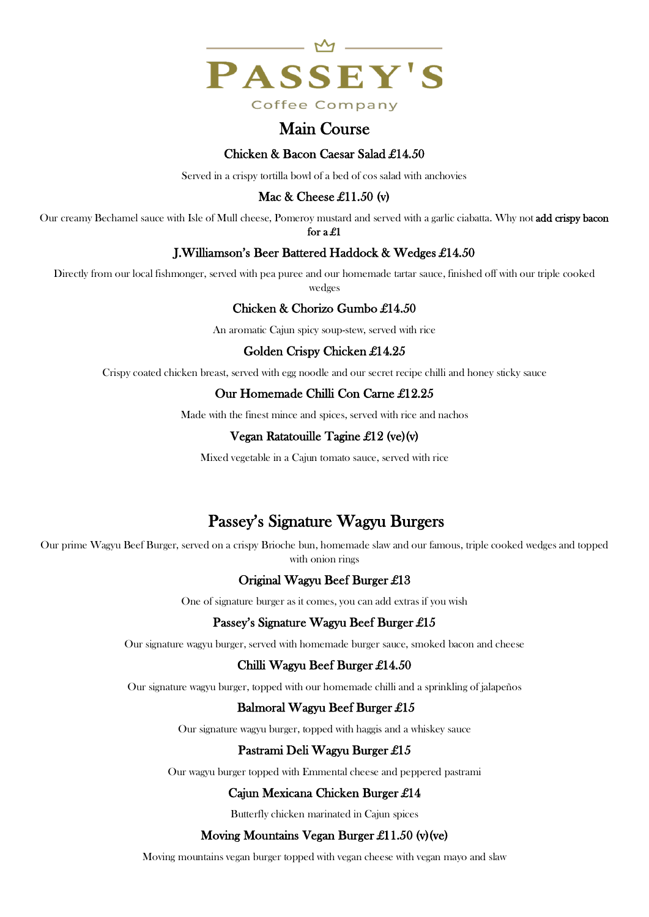

# Main Course

#### Chicken & Bacon Caesar Salad £14.50

Served in a crispy tortilla bowl of a bed of cos salad with anchovies

# Mac & Cheese £11.50 (v)

Our creamy Bechamel sauce with Isle of Mull cheese, Pomeroy mustard and served with a garlic ciabatta. Why not add crispy bacon

for a £1

## J.Williamson's Beer Battered Haddock & Wedges £14.50

Directly from our local fishmonger, served with pea puree and our homemade tartar sauce, finished off with our triple cooked wedges

## Chicken & Chorizo Gumbo £14.50

An aromatic Cajun spicy soup-stew, served with rice

## Golden Crispy Chicken £14.25

Crispy coated chicken breast, served with egg noodle and our secret recipe chilli and honey sticky sauce

## Our Homemade Chilli Con Carne £12.25

Made with the finest mince and spices, served with rice and nachos

#### Vegan Ratatouille Tagine £12 (ve)(v)

Mixed vegetable in a Cajun tomato sauce, served with rice

# Passey's Signature Wagyu Burgers

Our prime Wagyu Beef Burger, served on a crispy Brioche bun, homemade slaw and our famous, triple cooked wedges and topped with onion rings

# Original Wagyu Beef Burger £13

One of signature burger as it comes, you can add extras if you wish

#### Passey's Signature Wagyu Beef Burger £15

Our signature wagyu burger, served with homemade burger sauce, smoked bacon and cheese

#### Chilli Wagyu Beef Burger £14.50

Our signature wagyu burger, topped with our homemade chilli and a sprinkling of jalapeños

#### Balmoral Wagyu Beef Burger £15

Our signature wagyu burger, topped with haggis and a whiskey sauce

#### Pastrami Deli Wagyu Burger £15

Our wagyu burger topped with Emmental cheese and peppered pastrami

# Cajun Mexicana Chicken Burger £14

Butterfly chicken marinated in Cajun spices

#### Moving Mountains Vegan Burger £11.50 (v) (ve)

Moving mountains vegan burger topped with vegan cheese with vegan mayo and slaw